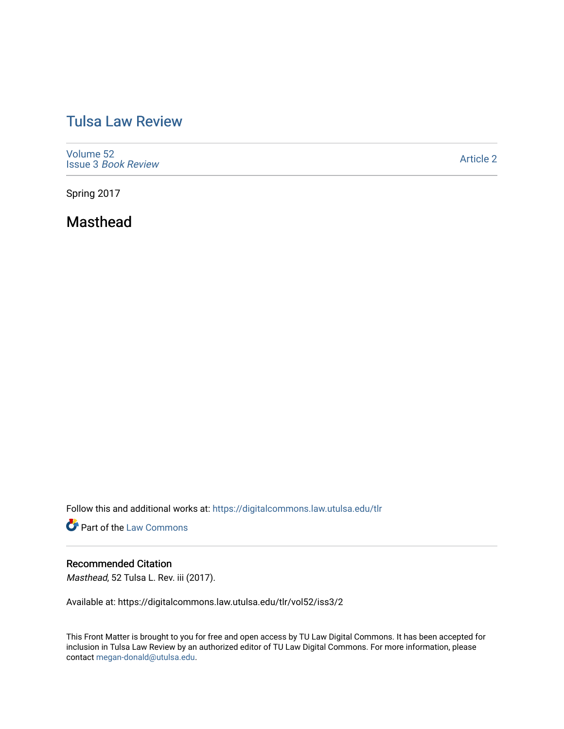## [Tulsa Law Review](https://digitalcommons.law.utulsa.edu/tlr)

[Volume 52](https://digitalcommons.law.utulsa.edu/tlr/vol52) Issue 3 [Book Review](https://digitalcommons.law.utulsa.edu/tlr/vol52/iss3)

[Article 2](https://digitalcommons.law.utulsa.edu/tlr/vol52/iss3/2) 

Spring 2017

Masthead

Follow this and additional works at: [https://digitalcommons.law.utulsa.edu/tlr](https://digitalcommons.law.utulsa.edu/tlr?utm_source=digitalcommons.law.utulsa.edu%2Ftlr%2Fvol52%2Fiss3%2F2&utm_medium=PDF&utm_campaign=PDFCoverPages) 

**Part of the [Law Commons](http://network.bepress.com/hgg/discipline/578?utm_source=digitalcommons.law.utulsa.edu%2Ftlr%2Fvol52%2Fiss3%2F2&utm_medium=PDF&utm_campaign=PDFCoverPages)** 

## Recommended Citation

Masthead, 52 Tulsa L. Rev. iii (2017).

Available at: https://digitalcommons.law.utulsa.edu/tlr/vol52/iss3/2

This Front Matter is brought to you for free and open access by TU Law Digital Commons. It has been accepted for inclusion in Tulsa Law Review by an authorized editor of TU Law Digital Commons. For more information, please contact [megan-donald@utulsa.edu.](mailto:megan-donald@utulsa.edu)